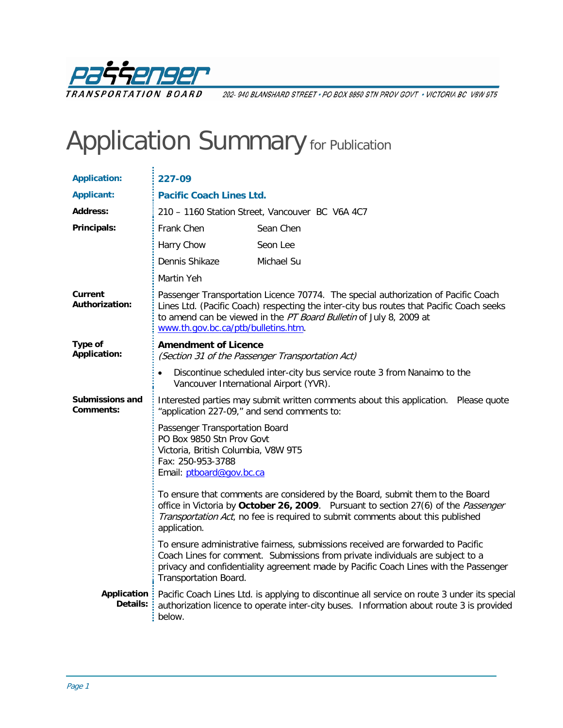

202-940 BLANSHARD STREET · PO BOX 9850 STN PROV GOVT · VICTORIA BC V8W 9T5

## Application Summary for Publication

| <b>Application:</b>                 | 227-09                                                                                                                                                                                                                                                                                      |                                                                                                                                                                                          |  |
|-------------------------------------|---------------------------------------------------------------------------------------------------------------------------------------------------------------------------------------------------------------------------------------------------------------------------------------------|------------------------------------------------------------------------------------------------------------------------------------------------------------------------------------------|--|
| <b>Applicant:</b>                   | <b>Pacific Coach Lines Ltd.</b>                                                                                                                                                                                                                                                             |                                                                                                                                                                                          |  |
| <b>Address:</b>                     | 210 - 1160 Station Street, Vancouver BC V6A 4C7                                                                                                                                                                                                                                             |                                                                                                                                                                                          |  |
| Principals:                         | Frank Chen                                                                                                                                                                                                                                                                                  | Sean Chen                                                                                                                                                                                |  |
|                                     | Harry Chow                                                                                                                                                                                                                                                                                  | Seon Lee                                                                                                                                                                                 |  |
|                                     | Dennis Shikaze                                                                                                                                                                                                                                                                              | Michael Su                                                                                                                                                                               |  |
|                                     | Martin Yeh                                                                                                                                                                                                                                                                                  |                                                                                                                                                                                          |  |
| Current<br><b>Authorization:</b>    | Passenger Transportation Licence 70774. The special authorization of Pacific Coach<br>Lines Ltd. (Pacific Coach) respecting the inter-city bus routes that Pacific Coach seeks<br>to amend can be viewed in the PT Board Bulletin of July 8, 2009 at<br>www.th.gov.bc.ca/ptb/bulletins.htm. |                                                                                                                                                                                          |  |
| Type of<br><b>Application:</b>      | <b>Amendment of Licence</b><br>(Section 31 of the Passenger Transportation Act)                                                                                                                                                                                                             |                                                                                                                                                                                          |  |
|                                     | Discontinue scheduled inter-city bus service route 3 from Nanaimo to the<br>Vancouver International Airport (YVR).                                                                                                                                                                          |                                                                                                                                                                                          |  |
| <b>Submissions and</b><br>Comments: | Interested parties may submit written comments about this application. Please quote<br>"application 227-09," and send comments to:                                                                                                                                                          |                                                                                                                                                                                          |  |
|                                     | Passenger Transportation Board<br>PO Box 9850 Stn Prov Govt<br>Victoria, British Columbia, V8W 9T5<br>Fax: 250-953-3788<br>Email: ptboard@gov.bc.ca                                                                                                                                         |                                                                                                                                                                                          |  |
|                                     | To ensure that comments are considered by the Board, submit them to the Board<br>office in Victoria by October 26, 2009. Pursuant to section 27(6) of the Passenger<br>Transportation Act, no fee is required to submit comments about this published<br>application.                       |                                                                                                                                                                                          |  |
|                                     | To ensure administrative fairness, submissions received are forwarded to Pacific<br>Coach Lines for comment. Submissions from private individuals are subject to a<br>privacy and confidentiality agreement made by Pacific Coach Lines with the Passenger<br>Transportation Board.         |                                                                                                                                                                                          |  |
| Application<br>Details:             | below.                                                                                                                                                                                                                                                                                      | Pacific Coach Lines Ltd. is applying to discontinue all service on route 3 under its special<br>authorization licence to operate inter-city buses. Information about route 3 is provided |  |